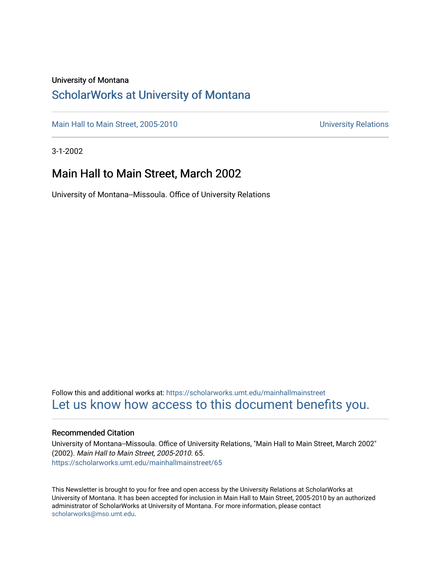#### University of Montana

### [ScholarWorks at University of Montana](https://scholarworks.umt.edu/)

[Main Hall to Main Street, 2005-2010](https://scholarworks.umt.edu/mainhallmainstreet) Main Hall to Main Street, 2005-2010

3-1-2002

### Main Hall to Main Street, March 2002

University of Montana--Missoula. Office of University Relations

Follow this and additional works at: [https://scholarworks.umt.edu/mainhallmainstreet](https://scholarworks.umt.edu/mainhallmainstreet?utm_source=scholarworks.umt.edu%2Fmainhallmainstreet%2F65&utm_medium=PDF&utm_campaign=PDFCoverPages) [Let us know how access to this document benefits you.](https://goo.gl/forms/s2rGfXOLzz71qgsB2) 

#### Recommended Citation

University of Montana--Missoula. Office of University Relations, "Main Hall to Main Street, March 2002" (2002). Main Hall to Main Street, 2005-2010. 65. [https://scholarworks.umt.edu/mainhallmainstreet/65](https://scholarworks.umt.edu/mainhallmainstreet/65?utm_source=scholarworks.umt.edu%2Fmainhallmainstreet%2F65&utm_medium=PDF&utm_campaign=PDFCoverPages) 

This Newsletter is brought to you for free and open access by the University Relations at ScholarWorks at University of Montana. It has been accepted for inclusion in Main Hall to Main Street, 2005-2010 by an authorized administrator of ScholarWorks at University of Montana. For more information, please contact [scholarworks@mso.umt.edu.](mailto:scholarworks@mso.umt.edu)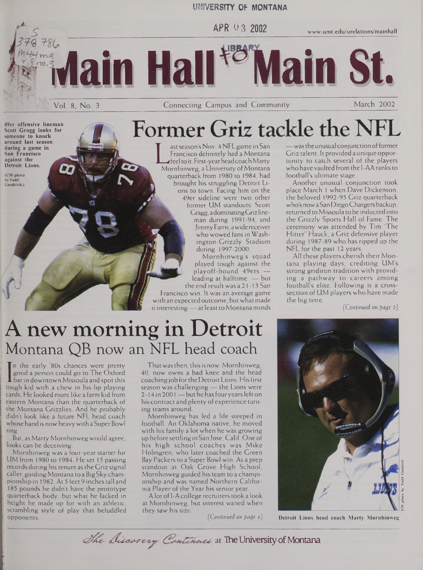#### **UNIVERSITY OF MONTANA**

**idain Hall Main St.**

**APR 0 3 2002 [www.umt.edu/urelations/mainhall](http://www.umt.edu/urelations/mainhall)**

**49er offensive lineman Scott Gragg looks for someone to knock around last season during a game in San Francisco against the Detroit Lions.**

**(UM photo byTodd Goodrich.)**

Vol. 8, No. <sup>3</sup> Connecting Campus and Community March 2002

# Former Griz tackle the NFL

ast season's Nov. 4 NFL game in San Francisco definitely had a Montana feel to it. First-yearheadcoachMarty Mornhinweg, a University of Montana quarterback from 1980 to 1984, had brought his struggling Detroit Lions to town. Facing him on the 49er sideline were two other former UM standouts: Scott Gragg, adominatingGrizlineman during 1991-94, and JimmyFarris, awide receiver who wowed fans in Washington-Grizzly Stadium during 1997-2000.

Mornhinweg's squad played tough against the playoff-bound 49ers leading at halftime — but the end result was a 21 -13 San

Francisco win. It was an average game with an expected outcome, but what made it interesting  $-$  at least to Montana minds

 $-$  was the unusual conjunction of former  $\,$ Griz talent. It provided a unique opportunity to catch several of the players who have vaulted from the I-AA ranks to football's ultimate stage.

Another unusual conjunction took place March <sup>1</sup> when Dave Dickenson, the beloved 1992-95 Griz quarterback who's nowa San DiegoChargersbackup, returned to Missoula to be inducted into the Grizzly Sports Hall of Fame. The ceremony was attended by Tim 'The Hitter" Hauck, a Griz defensive player during 1987-89 who has ripped up the NFL for the past 12 years.

All these players cherish their Montana playing days, crediting UM's strong gridiron tradition with providing a pathway to careers among football's elite. Following is a crosssection of UM players who have made the big time.

*(Continued on pac/e 2)*

# A new morning in Detroit Montana QB now an NFL head coach

I barin downtown Missoula and spot this In the early '80s chances were pretty good a person could go to The Oxford tough kid with a chew in his lip playing cards. He looked more like a farm kid from eastern Montana than the quarterback of the Montana Grizzlies. And he probably didn't look like a future NFL head coach whose hand is now heavy with a Super Bowl ring.

But, as Marty Mornhinwegwould agree, looks can be deceiving.

Mornhinweg was a four-year starter for UM from 1980 to 1984. He set 15 passing records during his tenure as the Griz signal caller, guiding Montana to a Big Sky championship in 1982. At 5 feet 9 inchestall and 185 pounds he didn't have the prototype quarterback body, but what he lacked in height he made up for with an athletic, scrambling style of play that befuddled opponents.

Thatwasthen, thisis now. Mornhinweg, 40, now owns a bad knee and the head coaching job for the Detroit Lions. His first season was challenging — the Lions were 2-14 in 2001 — but he has four years left on his contract and plenty of experience turning teams around.

Mornhinweg has led a life steeped in football. An Oklahoma native, he moved with his family a lot when he was growing up before settling in SanJose, Calif. One of his high school coaches was Mike Holmgren, who later coached the Green Bay Packers to a Super Bowl win. As a prep standout at Oak Grove High School, Mornhinweg guided histeam to a championship and was named Northern California Player of the Year his senior year.

A lot of I-A college recruiters took a look at Mornhinweg, but interest waned when they saw his size.

*(Continued on page 4)* **Detroit Lions head coach Marty Mornhinweg**



**UM photo by**

The Discarcry Continues at The University of Montana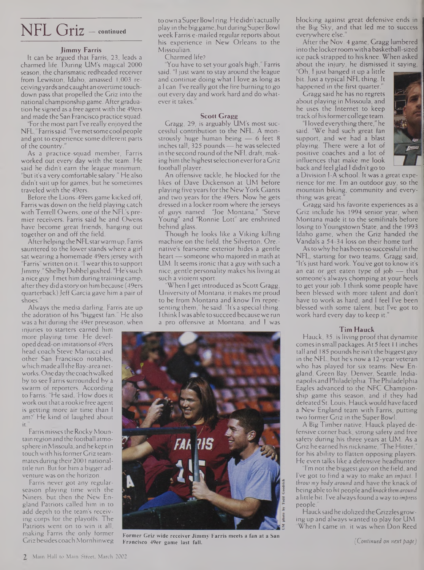## NFL Griz — **continued**

#### **Jimmy Farris**

It can be argued that Farris, 23, leads a charmed life. During UM's magical 2000 season, the charismatic redheaded receiver from Lewiston, Idaho, amassed 1,003 receivingyards andcaughtan overtime touchdown pass that propelled the Griz into the national championship game. After graduation he signed as a free agent with the 49ers and made the San Francisco practice squad.

"Forthe most part I've really enjoyed the NFL," Farrissaid. "I've metsome cool people and got to experience some different parts of the country.

As a practice-squad member, Farris worked out every day with the team. He said he didn't earn the league minimum, "but it's a very comfortable salary." He also didn't suit up for games, but he sometimes traveled with the 49ers.

Before the Lions-49ers game kicked off, Farris was down on the field playing catch with Terrell Owens, one of the NFL's premier receivers. Farris said he and Owens have become great friends, hanging out together on and off the field.

AfterhelpingtheNFLstarwarm up, Farris sauntered to the lower stands where a girl sat wearing a homemade 49ers jersey with "Farris" written on it. "I wearthis to support Jimmy," Shelby Dobbel gushed. "He'ssuch a nice guy. <sup>I</sup> met him during training camp, after they did a story on him because (49ers quarterback)Jeff Garcia gave him a pair of shoes."

Always the media darling, Farris ate up the adoration of his "biggest fan." He also was a hit during the 49er preseason, when

injuries to starters earned him more playing time. He developed dead-on imitations of49ers head coach Steve Mariucci and other San Francisco notables, which made all the Bay-area networks. One day the coachwalked by to see Farris surrounded by a swarm of reporters. According to Farris: "He said, 'How does it work out that a rookie free agent is getting more air time than <sup>I</sup> am?' He kind of laughed about  $i$ t

Farris misses the Rocky Mountain region and the football atmosphere in Missoula, andhekeptin touch with his former Griz teammates during their 2001 nationaltitle run. But for him a bigger adventure was on the horizon.

Farris never got any regularseason playing time with the Niners, but then the New England Patriots called him in to add depth to the team's receiving corps for the playoffs. The Patriots went on to win it all, making Farris the only former Griz besides coachMornhinweg to own a Super Bowl ring. He didn't actually play in the biggame, but duringSuperBowl week Farris e-mailed regular reports about his experience in New Orleans to the Missoulian.

Charmed life?

You have to set your goals high," Farris said. "I just want to stay around the league and continue doing what <sup>I</sup> love as long as a <sup>I</sup> can. I've really got the fire burning to go out every day and work hard and do whatever it takes."

#### **Scott Gragg**

Gragg, 29, is arguably UM's most successful contribution to the NFL. A monstrously huge human being — 6 feet 8 inches tall, 325 pounds - he was selected in the second round of the NFL draft, making him the highest selection ever for a Griz football player.

An offensive tackle, he blocked for the likes of Dave Dickenson at UM before playing five years forthe New York Giants and two years for the 49ers. Now he gets dressed in a locker room where the jerseys<br>of guys named "Joe Montana," "Steve of guys named "Joe Montana," Young" and "Ronnie Lott" are enshrined behind glass.

Though he looks like a Viking killing machine on the field, the Silverton, Ore. native's fearsome exterior hides a gentle heart— someone who majored in math at UM. It seems ironic that a guy with such a nice, gentle personality makes his living at such a violent sport.

When I get introduced as Scott Gragg, University of Montana, it makes me proud to be from Montana and know I'm representing them," he said. "It's a special thing. <sup>I</sup> think <sup>I</sup> was able to succeed becausewe run a pro offensive at Montana, and <sup>I</sup> was



**Former Griz wide receiver Jimmy Farris meets a fan at a San Francisco 49er game last fall.**

blocking against great defensive ends in the Big Sky, and that led me to success everywhere else."

After the Nov. 4 game, Gragg lumbered into the lockerroomwith a basketball-sized ice pack strapped to his knee. When asked about the injury, he dismissed it saying,

"Oh, <sup>I</sup> just banged it up a little bit.Just a typical NFL thing. It happened in the first quarter."

Gragg said he has no regrets about playing in Missoula, and he uses the Internet to keep trackofhisformercollege team.

**"I lovedeverything there,"he** said. "We had such great fan support, and we had a blast playing. There were a lot of positive coaches and a lot of influences that make me look back and feel glad I didn't go to



a Division I-A school. It was a great experience for me. I'm an outdoor guy, so the mountain biking, community and everything was great.

Gragg said his favorite experiences as a Griz include his 1994 senior year, when Montana made it to the semifinals before losing to Youngstown State, and the 1993 Idaho game, when the Griz handed the Vandals a 54-34 loss on their home turf.

Astowhy he has been so successful in the NFL, starting for two teams, Gragg said, "It'sjust hard work. You've got to know it's an eat or get eaten type of job — that someone's always chomping at your heels to get your job. <sup>I</sup> think some people have been blessed with more talent and don't have to work as hard, and <sup>I</sup> feel I've been blessed with some talent, but I've got to work hard every day to keep it."

#### **Tim Hauck**

Hauck, 35, is living proof that dynamite comesin small packages. At 5 feet 11 inches tall and 185 pounds he isn't the biggest guy in the NFL, but he's now a 12-year veteran who has played for six teams: New England, Green Bay, Denver, Seattle, Indianapolis and Philadelphia.The Philadelphia Eagles advanced to the NFC Championship game this season, and if they had defeated St. Louis, Hauckwouldhave faced a New England team with Farris, putting two former Griz in the Super Bowl.

A Big Timber native, Hauck played defensive corner back, strong safety and free safety during his three years at UM. As a Griz he earned his nickname, "The Hitter," for his ability to flatten opposing players. He even talks like a defensive headhunter:

I'm not the biggest guy on the field, and I've got to find a way to make an *impact.* <sup>I</sup> *throw my body around* and have the knack of beingable to bit people and*knock themaround* a little bit. <sup>I</sup>'ve alwaysfound a way to *impress* people.

Hauck said he idolized the Grizzles growing up and always wanted to play for UM. When I came in, it was when Don Reed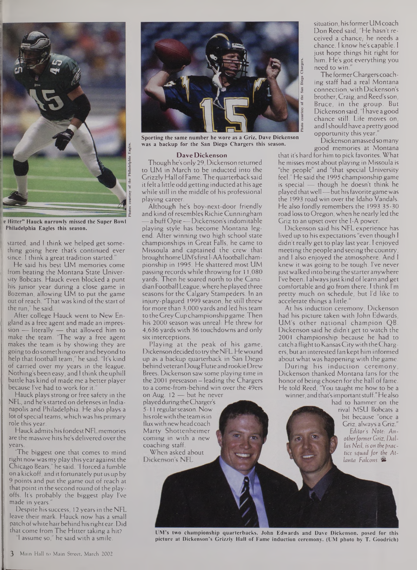

**e Hitter" Hauck narrowly missed the Super Bowl Philadelphia Eagles this season.**

started, and <sup>I</sup> think we helped get something going here that's continued ever since. <sup>I</sup> think a great tradition started."

He said his best UM memories come from beating the Montana State University Bobcats. Hauck even blocked a punt his junior year during a close game in Bozeman, allowing UM to put the game out of reach. "That was kind of the start of the run," he said.

After college Hauck went to New England as a free agent and made an impression — literally — that allowed him to make the team. 'The way a free agent makes the team is by showing they are going to do something over and beyond to help that football team," he said. "It's kind of carried over my years in the league. Nothing's been easy, and <sup>I</sup> think the uphill battle has kind ofmade me a better player because I've had to work for it.

Hauck plays strong or free safety in the NFL, and he's started on defenses in Indianapolis and Philadelphia. He also plays a lot of special teams, which was his primary role this year.

Hauckadmits hisfondestNFLmemories are the massive hits he's delivered over the years.

'The biggest one that comes to mind right nowwasmy play thisyearagainst the Chicago Bears," he said. "I forced a fumble on a kickoff, and it fortunately putus up by 9 points and put the game out of reach at that point in the second round of the playoffs. It's probably the biggest play I've made in years.

Despite his success, 12 years in the NFL leave their mark. Hauck now has a small patch of white hair behind his right ear. Did that come from The Hitter taking a hit?

"I assume so," he said with a smile.



**Sporting the same number he wore as a Griz, Dave Dickenson was a backup for the San Diego Chargers this season.**

#### **Dave Dickenson**

Though he's only 29, Dickenson returned to UM in March to be inducted into the GrizzlyHall ofFame. The quarterbacksaid it felt a little odd getting inducted at his age while still in the middle of his professional playing career.

Although he's boy-next-door friendly and kind of resembles Richie Cunningham —a buff Opie—Dickenson'sindomitable playing style has become Montana legend. After winning two high school state championships in Great Falls, he came to Missoula and captained the crew that brought home UM's first I-AA football championship in 1995. He shattered most UM passing records while throwing for 11,080 yards. Then he soared north to the CanadianFootball League,wherehe played three seasons for the Calgary Stampeders. In an injury-plagued 1999 season, he still threw formore than 3,000 yards and led his team tothe GreyCup championshipgame. Then his 2000 season was unreal: He threw for 4,636 yards with 36 touchdowns and only six interceptions.

Playing at the peak of his game, Dickenson decided to try the NFL. He wound up as a backup quarterback in San Diego behindveteran DougFlutie androokieDrew Brees. Dickenson saw some playing time in the 2001 preseason — leading the Chargers to a come-from-behind win over the 49ers

on Aug. 12 — but he never played during the Charger's 5-11 regular season. Now hisrolewith the team isin fluxwith newheadcoach Marty Shottenheimer coming in with a new coaching staff.

When asked about<br>Dickenson's NFL

situation, his former UM coach Don Reed said, "He hasn't received a chance, he needs a chance. <sup>I</sup> know he's capable. <sup>I</sup> just hope things hit right for him. He's got everything you need to win."

The formerChargers coaching staff had a real Montana connection, with Dickenson's brother, Craig, and Reed's son, Bruce, in the group. But Dickenson said, "I have a good chance still. Life moves on, and I should have a pretty good opportunity this year.

Dickenson amassed so many good memories at Montana

that it's hard for him to pick favorites. What he misses most about playing in Missoula is "the people" and "that special University feel." He said the 1995 championship game is special — though he doesn't think he played that well — but his favorite game was the 1993 road win over the Idaho Vandals. He also fondly remembers the 1993 35-30 road lossto Oregon, when he nearly led the Griz to an upset over the I-A power.

Dickenson said his NFL experience has lived up to his expectations "even though <sup>I</sup> didn't really get to play last year. <sup>I</sup> enjoyed meeting the people and seeing the country, and <sup>I</sup> also enjoyed the atmosphere. And <sup>I</sup> knew it was going to be tough. I've never justwalked into being the starter anywhere I've been. I always just kind of learn and get comfortable and go from there. <sup>I</sup> think I'm pretty much on schedule, but I'd like to accelerate things a little.

At his induction ceremony, Dickenson had his picture taken with John Edwards, UM's other national champion QB. Dickenson said he didn't get to watch the 2001 championship because he had to catch a flight to Kansas City with the Chargers, but an interested fan kept him informed about what was happening with the game.

During his induction ceremony, Dickenson thanked Montana fans for the honor of being chosen for the hall of fame. He told Reed, "You taught me how to be a

winner, and that's important stuff." He also

had to hammer on the rival MSU Bobcats a bit because "once a Griz, always a Griz." *Editor's Note.- Anotherformer Griz, Dallas Neil, is on the practice squad for the Atlanta Falcons. S*

**UM's two championship quarterbacks, John Edwards and Dave Dickenson, posed for this picture at Dickenson's Grizzly Hall of Fame induction ceremony. (UM photo by T. Goodrich)**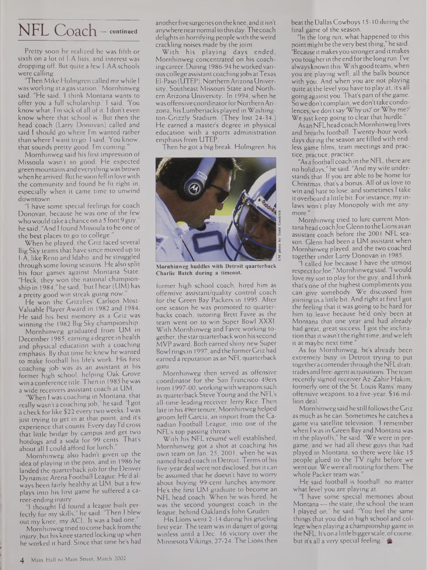## NFL Coach — **continued**

Pretty soon he realized he was fifth or sixth on a lot of I-A lists, and interest was dropping off. But quite a few I-AA schools were calling.

"Then Mike Holmgren called me while <sup>I</sup> was working at a gasstation," Mornhinweg said. "He said, 'I think Montana wants to offer you a full scholarship.' <sup>I</sup> said, 'You know what, I'm sick of all of it. <sup>I</sup> don't even know where that school is.' But then the head coach (Larry Donovan) called and said <sup>I</sup> should go where I'm wanted rather than where <sup>I</sup> want to go. <sup>I</sup> said, 'You know, that sounds pretty good. I'm coming."'

Mornhinweg said his first impression of Missoula wasn't so good: He expected green mountains and everythingwas brown when he arrived. But hesoon fell in lovewith the community and found he fit right in, especially when it came time to unwind downtown.

"I have some special feelings for coach Donovan, because he was one of the few who would take a chance on a 5 foot 9 guy he said. "And <sup>I</sup> found Missoula to be one of the best places to go to college.

When he played, the Griz faced several Big Sky teams that have since moved up to I-A, like Reno and Idaho, and he struggled through some losing seasons. He also split his four games against Montana State. "Heck, they won the national championship in 1984," he said, "but I hear (UM) has a pretty good win streak going now

He won the Grizzlies Carlson Most-Valuable Player Award in 1982 and 1984. He said his best memory as a Griz was winning the 1982 Big Sky championship.

Mornhinweg graduated from UM in December 1985, earning a degree in health and physical education with a coaching emphasis. By that time he knew he wanted to make football his lifes work. His first coaching job was as an assistant at his former high school, helping Oak Grove win a conference title.Then in 1985 he was a wide receivers assistant coach at UM.

"When <sup>I</sup> was coaching in Montana, that really wasn't a coaching job, he said. I got a check for like \$22 every two weeks. <sup>1</sup> was just trying to get in at that point, and it's experience that counts. Every day <sup>I</sup> d cross that little bridge by campus and get two hotdogs and a soda for 99 cents. Thats about all <sup>I</sup> could afford for lunch.

Mornhinweg also hadn't given up the idea of playing in the pros, and in 1986 he landed the quarterback job for the Denver Dynamite Arena Football League. He d always been fairly healthy at UM, but a few plays into his first game he suffered a career-ending injury.

"I thought I'd found a league built perfectly for my skills, he said. Then <sup>I</sup> blew out my knee, my ACL. It was a bad one.

Mornhinwegtried to come back from the injury, but his knee started locking up when he worked it hard. Since that time hes had

another five surgeries on the knee, and it isn't anywherenearnormal tothisday.Thecoach delights in horrifying people with the weird crackling noises made by the joint.

With his playing days ended, Mornhinweg concentrated on his coachingcareer. During 1986-94 heworkedvarious college assistantcoachingjobs atTexas El-Paso (UTEP), NorthernArizonaUniversity, Southeast Missouri State and Northern Arizona University. In 1994, when he was offensive coordinator for Northern Arizona, his Lumberjacks played in Washington-Grizzly Stadium. (They lost 24-34.) He earned a master's degree in physical education with a sports administration emphasis from UTEP.

Then he got a big break. Holmgren, his



**Mornhinweg huddles with Detroit quarterback Charlie Batch during a timeout.**

former high school coach, hired him as offensive assistant/quality control coach for the Green Bay Packers in 1995. After one season he was promoted to quarterbacks coach, tutoring Brett Favre as the team went on to win Super Bowl XXXI. With Mornhinweg and Favre working together, the starquarterbackwon hissecond MVP award. Both earned shiny new Super Bowl rings in 1997, and the formerGriz had earned a reputation as an NFL quarterback guru.

Mornhinweg then served as offensive coordinator for the San Francisco 49ers from 1997-00, workingwith weaponssuch as quarterback Steve Young and the NFL's all-time-leading receiver,Jerry Rice. Then late in his 49ertenure, Mornhinweg helped groomJeff Garcia, an import from the Canadian Football League, into one of the NFL's top passing threats.

With his NFL resume well established, Mornhinweg got a shot at coaching his own team on Jan. 25, 2001, when he was named head coach in Detroit. Terms of his five-year deal were not disclosed, but it can be assumed that he doesn't have to worry about buying 99-cent lunches anymore. He's the first UM graduate to become an NFL head coach. When he was hired, he was the second youngest coach in the league, behind Oakland's John Gruden.

His Lions went 2-14 during his grueling first year. The team was in danger of going winless until a Dec. 16 victory over the Minnesota Vikings, 27-24. The Lions then beat the Dallas Cowboys 15-10 during the final game of the season.

"In the long run, what happened to this point might be the very best thing," he said. "Because itmakesyou strongerand it makes youtougherin the end forthe longrun. I've alwaysknown this: With good teams, when you are playing well, all the balls bounce with you. And when you are not playing quite at the level you have to play at, its all going against you. That's part of the game. So we don't complain, we don't take condolences, we don'tsay 'Why us?' or Why me? We just keep going to clear that hurdle."

As an NFLheadcoachMornhinweg lives and breaths football. Twenty-hour workdays during the season are filled with endless game films, team meetings and practice, practice, practice.

"As a football coach in the NFL, there are no holidays," he said. "And my wife understands that. If you are able to be home for Christmas, that's a bonus. All of us love to win and hate to lose, and sometimes <sup>I</sup> take it overboard a little bit. Forinstance, my inlaws won't play Monopoly with me anymore."

Mornhinweg tried to lure current Montana headcoachJoe Glenn to the Lions as an assistant coach before the 2001 NFL season. Glenn had been a UM assistant when Mornhinweg played, and the two coached together under Larry Donovan in 1985.

"1 called Joe because <sup>I</sup> have the utmost respect for Joe," Mornhinweg said. "I would love my son to play forthe guy, and <sup>I</sup> think that's one of the highest compliments you can give somebody. We discussed him joining us a little bit. And right at first I got the feeling that it was going to be hard for him to leave because he'd only been at Montana that one year and had already had great, great success. <sup>I</sup> got the inclination that it wasn't the right time, and we left it at maybe next time.

As for Mornhinweg, he's already been extremely busy in Detroit trying to put togethera contenderthrough theNFLdraft, trades and free-agentacquisitions.Theteam recently signed receiver Az-Zahir Hakim, formerly one of the St. Louis Rams' many offensive weapons, to a five-year, \$16 million deal.

Mornhinwegsaidhe still followsthe Griz as much as he can. Sometimes he catches a game via satellite television. "I remember when I was in Green Bay and Montana was in the playoffs," he said. "We were in pregame, and we had all these guys that had played in Montana, so there were like 15 people glued to the TV right before we wentout.Wewere all rooting forthem.The whole Packer team was."

He said football is football, no matter what level you are playing at.

"I have some special memories about Montana— the state, the school, the team <sup>I</sup> played on," he said. "You feel the same things that you did in high school and college when playing a championship game in theNFL. It's on a littlebiggerscale, ofcourse, but it's all a very special feeling."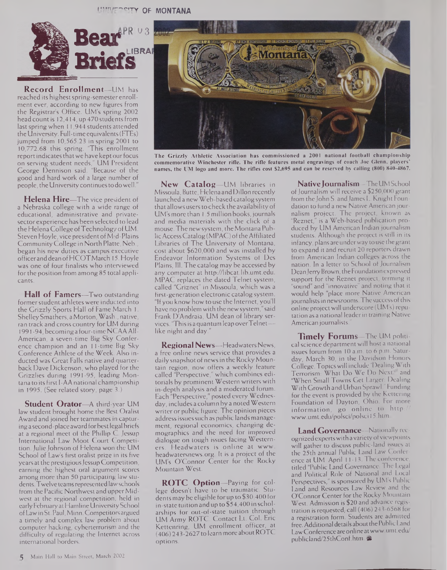**llf'!VT'"?!TY OF MONTANA**



**Record Enrollment—**UM has reached its highest spring-semester enrollment ever, according to new figures from the Registrar's Office. UM's spring 2002 head count is 12,414, up 470 students from last spring when 11,944 students attended theUniversity. Full-time equivalents(FTEs) jumped from 10,565.23 in spring 2001 to 10,772.68 this spring. "This enrollment report indicates that we have kept our focus on serving student needs," UM President George Dennison said. "Because of the good and hard work of a large number of people, the University continues to do well."

**Helena Hire—**The vice president of a Nebraska college with a wide range of educational, administrative and privatesector experience has been selected to lead the Helena College ofTechnology ofUM. Steven Hoyle, vice president of Mid-Plains CommunityCollege in North Platte, Neb., began his new duties as campus executive officeranddean ofHCOTMarch 15. Hoyle was one of four finalists who interviewed forthe position from among 85 total applicants.

**Hall of Famers—**Two outstanding former student athletes were inducted into the Grizzly Sports Hall of Fame March 1. ShelleySmathers, a Morton,Wash., native, ran track and cross country for UM during 1991 -94, becominga four-time NCAAAll-American, a seven-time Big Sky Conference champion and an 11-time Big Sky Conference Athlete of the Week. Also inducted was Great Falls native and quarterback Dave Dickenson, who played for the Grizzlies during 1991-95, leading Montana to its first I-AA national championship in 1995. (See related story, page 3.)

**Student Orator—**A third-year UM law student brought home the Best Oralist Award and joined her teammates in capturinga second-place award forbestlegal briefs at a regional meet of the Phillip C. Jessup International Law Moot Court Competition. Julie Johnson of Helena won the UM School of Law's first oralist prize in its five years at the prestigious Jessup Competition, earning the highest oral argument scores among more than 50 participating law students.Twelve teamsrepresented lawschools from the Pacific Northwest and upper Midwest at the regional competition, held in early February at Hamline University School ofLawinSt. Paul, Minn.Competitors argued a timely and complex law problem about computer hacking, cyberterrorism and the difficulty of regulating the Internet across international borders.



**The Grizzly Athletic Association has commissioned a 2001 national football championship commemorative Winchester rifle. The rifle features metal engravings of coach Joe Glenn, players' names, the UM logo and more. The rifles cost \$2,695 and can be reserved by calling (800) 840-4867.**

**New Catalog—**UM libraries in Missoula, Butte, Helena andDillon recently launched a newWeb-based catalog system that allows usersto check the availability of UM'smore than 1.5 million books,journals and media materials with the click of a mouse. The new system, the Montana PublicAccessCatalog(MPAC) oftheAffiliated Libraries of The University of Montana, cost about \$620,000 and was installed by Endeavor Information Systems of Des Plains, Ill. The catalog may be accessed by any computer at <http://libcat.Iib.umt.edu>. MPAC replaces the dated Telnet system, called "Griznet" in Missoula, which was a first-generation electronic catalog system. "Ifyou know how to use the Internet, you'll have no problemwith the newsystem," said Frank D'Andraia, UM dean of library services. 'Thisis a quantum leap overTelnet like night and day.

**Regional News—**HeadwatersNews, a free online news service that provides a daily snapshot of news in the Rocky Mountain region, now offers a weekly feature called "Perspective," which combines editorials by prominent Western writers with in-depth analysis and a moderated forum. Each "Perspective," posted every Wednesday, includes a column by a notedWestern writer or public figure. The opinion pieces address issues such as public lands management, regional economics, changing demographics and the need for improved dialogue on tough issues facing Westerners. Headwaters is online at www. <headwatersnews.org>. It is a project of the UM's O'Connor Center for the Rocky Mountain West.

**ROTC Option—**Paying for college doesn't have to be traumatic. Students may be eligible forup to \$30,400 for in-state tuition and up to \$54,400 in scholarships for out-of-state tuition through UM Army ROTC. Contact Lt. Col. Eric Kettenring, UM enrollment officer, at (406) 243-2627 to learn more aboutROTC options.

**NativeJournalism—**TheUMSchool of Journalism will receive a \$250,000 grant from the John S. and James L. Knight Foundation to fund a new Native American journalism project. The project, known as "Reznet," is a Web-based publication produced by UM American Indian journalism students. Although the project is still in its infancy, plans areunderway to use the grant to expand it and recruit 20 reporters drawn from American Indian colleges across the nation. In a letter to School of Journalism Dean Jerry Brown, the Foundation expressed support for the Reznet project, terming it "sound" and "innovative" and noting that it would help "place more Native American journalists in newsrooms. The success of this online projectwill underscore (UM's) reputation as a national leader in training Native American journalists.

**Timely Forums—**The UM political science department will host a national issues forum from 10 a.m. to 6 p.m. Saturday, March 30, in the Davidson Honors College.Topicswill include "DealingWith Terrorism: What Do We Do Next? and "When Small Towns Get Larger: Dealing With Growth and Urban Sprawl." Funding for the event is provided by the Kettering Foundation of Dayton, Ohio. For more information, go online to http:// [www.umt.edu/polsci/polsci](http://www.umt.edu/polsci/polsci) 15.htm.

**Land Governance—**Nationally recognized experts with a variety of viewpoints will gather to discuss public-land issues at the 25th annual Public Land Law Conference at UM April 11-13. The conference, titled "Public Land Governance: The Legal and Political Role of National and Local Perspectives," is sponsored by UM's Public Land and Resources Law Review and the O'Connor Center for the Rocky Mountain West. Admission is \$20 and advance registration is requested; call (406) 243-6568 for a registration form. Students are admitted free. Additional details about the Public Land <LawConferenceareonlineatwww.umt.edu/> publicland/25thConf.htm. &